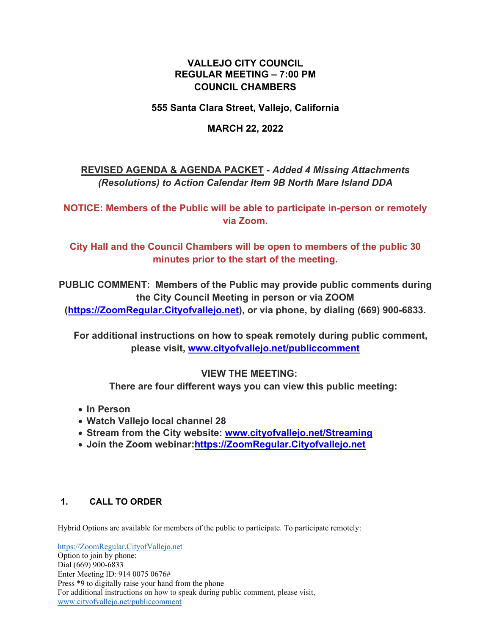# **VALLEJO CITY COUNCIL REGULAR MEETING – 7:00 PM COUNCIL CHAMBERS**

# **555 Santa Clara Street, Vallejo, California**

# **MARCH 22, 2022**

# **REVISED AGENDA & AGENDA PACKET -** *Added 4 Missing Attachments (Resolutions) to Action Calendar Item 9B North Mare Island DDA*

**NOTICE: Members of the Public will be able to participate in-person or remotely via Zoom.** 

**City Hall and the Council Chambers will be open to members of the public 30 minutes prior to the start of the meeting.**

**PUBLIC COMMENT: Members of the Public may provide public comments during the City Council Meeting in person or via ZOOM (https://ZoomRegular.Cityofvallejo.net), or via phone, by dialing (669) 900-6833.**

 **For additional instructions on how to speak remotely during public comment, please visit, www.cityofvallejo.net/publiccomment**

# **VIEW THE MEETING:**

 **There are four different ways you can view this public meeting:**

- **In Person**
- **Watch Vallejo local channel 28**
- **Stream from the City website: www.cityofvallejo.net/Streaming**
- **Join the Zoom webinar:https://ZoomRegular.Cityofvallejo.net**

# **1. CALL TO ORDER**

Hybrid Options are available for members of the public to participate. To participate remotely:

https://ZoomRegular.CityofVallejo.net Option to join by phone: Dial (669) 900-6833 Enter Meeting ID: 914 0075 0676# Press \*9 to digitally raise your hand from the phone For additional instructions on how to speak during public comment, please visit, www.cityofvallejo.net/publiccomment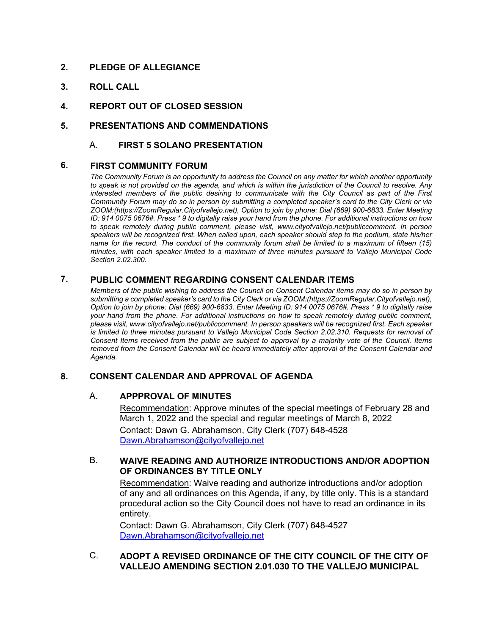# **2. PLEDGE OF ALLEGIANCE**

- **3. ROLL CALL**
- **4. REPORT OUT OF CLOSED SESSION**
- **5. PRESENTATIONS AND COMMENDATIONS**
	- A. **FIRST 5 SOLANO PRESENTATION**

### **6. FIRST COMMUNITY FORUM**

*The Community Forum is an opportunity to address the Council on any matter for which another opportunity to speak is not provided on the agenda, and which is within the jurisdiction of the Council to resolve. Any interested members of the public desiring to communicate with the City Council as part of the First Community Forum may do so in person by submitting a completed speaker's card to the City Clerk or via ZOOM:(https://ZoomRegular.Cityofvallejo.net), Option to join by phone: Dial (669) 900-6833. Enter Meeting ID: 914 0075 0676#. Press \* 9 to digitally raise your hand from the phone. For additional instructions on how to speak remotely during public comment, please visit, www.cityofvallejo.net/publiccomment. In person speakers will be recognized first. When called upon, each speaker should step to the podium, state his/her name for the record. The conduct of the community forum shall be limited to a maximum of fifteen (15) minutes, with each speaker limited to a maximum of three minutes pursuant to Vallejo Municipal Code Section 2.02.300.* 

# **7. PUBLIC COMMENT REGARDING CONSENT CALENDAR ITEMS**

*Members of the public wishing to address the Council on Consent Calendar items may do so in person by submitting a completed speaker's card to the City Clerk or via ZOOM:(https://ZoomRegular.Cityofvallejo.net), Option to join by phone: Dial (669) 900-6833. Enter Meeting ID: 914 0075 0676#. Press \* 9 to digitally raise your hand from the phone. For additional instructions on how to speak remotely during public comment, please visit, www.cityofvallejo.net/publiccomment. In person speakers will be recognized first. Each speaker is limited to three minutes pursuant to Vallejo Municipal Code Section 2.02.310. Requests for removal of Consent Items received from the public are subject to approval by a majority vote of the Council. Items removed from the Consent Calendar will be heard immediately after approval of the Consent Calendar and Agenda.*

#### **8. CONSENT CALENDAR AND APPROVAL OF AGENDA**

#### A. **APPPROVAL OF MINUTES**

Recommendation: Approve minutes of the special meetings of February 28 and March 1, 2022 and the special and regular meetings of March 8, 2022 Contact: Dawn G. Abrahamson, City Clerk (707) 648-4528 Dawn.Abrahamson@cityofvallejo.net

## B. **WAIVE READING AND AUTHORIZE INTRODUCTIONS AND/OR ADOPTION OF ORDINANCES BY TITLE ONLY**

Recommendation: Waive reading and authorize introductions and/or adoption of any and all ordinances on this Agenda, if any, by title only. This is a standard procedural action so the City Council does not have to read an ordinance in its entirety.

Contact: Dawn G. Abrahamson, City Clerk (707) 648-4527 Dawn.Abrahamson@cityofvallejo.net

# C. **ADOPT A REVISED ORDINANCE OF THE CITY COUNCIL OF THE CITY OF VALLEJO AMENDING SECTION 2.01.030 TO THE VALLEJO MUNICIPAL**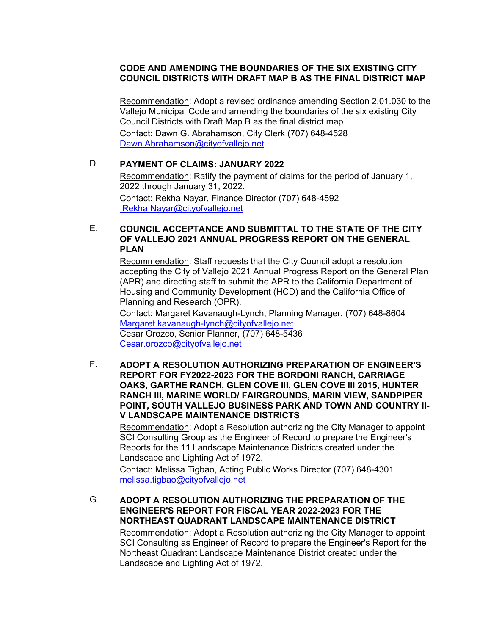### **CODE AND AMENDING THE BOUNDARIES OF THE SIX EXISTING CITY COUNCIL DISTRICTS WITH DRAFT MAP B AS THE FINAL DISTRICT MAP**

Recommendation: Adopt a revised ordinance amending Section 2.01.030 to the Vallejo Municipal Code and amending the boundaries of the six existing City Council Districts with Draft Map B as the final district map Contact: Dawn G. Abrahamson, City Clerk (707) 648-4528 Dawn.Abrahamson@cityofvallejo.net

# D. **PAYMENT OF CLAIMS: JANUARY 2022**

Recommendation: Ratify the payment of claims for the period of January 1, 2022 through January 31, 2022. Contact: Rekha Nayar, Finance Director (707) 648-4592 Rekha.Nayar@cityofvallejo.net

# E. **COUNCIL ACCEPTANCE AND SUBMITTAL TO THE STATE OF THE CITY OF VALLEJO 2021 ANNUAL PROGRESS REPORT ON THE GENERAL PLAN**

Recommendation: Staff requests that the City Council adopt a resolution accepting the City of Vallejo 2021 Annual Progress Report on the General Plan (APR) and directing staff to submit the APR to the California Department of Housing and Community Development (HCD) and the California Office of Planning and Research (OPR).

Contact: Margaret Kavanaugh-Lynch, Planning Manager, (707) 648-8604 Margaret.kavanaugh-lynch@cityofvallejo.net Cesar Orozco, Senior Planner, (707) 648-5436 Cesar.orozco@cityofvallejo.net

F. **ADOPT A RESOLUTION AUTHORIZING PREPARATION OF ENGINEER'S REPORT FOR FY2022-2023 FOR THE BORDONI RANCH, CARRIAGE OAKS, GARTHE RANCH, GLEN COVE III, GLEN COVE III 2015, HUNTER RANCH III, MARINE WORLD/ FAIRGROUNDS, MARIN VIEW, SANDPIPER POINT, SOUTH VALLEJO BUSINESS PARK AND TOWN AND COUNTRY II-V LANDSCAPE MAINTENANCE DISTRICTS**

Recommendation: Adopt a Resolution authorizing the City Manager to appoint SCI Consulting Group as the Engineer of Record to prepare the Engineer's Reports for the 11 Landscape Maintenance Districts created under the Landscape and Lighting Act of 1972.

Contact: Melissa Tigbao, Acting Public Works Director (707) 648-4301 melissa.tigbao@cityofvallejo.net

## G. **ADOPT A RESOLUTION AUTHORIZING THE PREPARATION OF THE ENGINEER'S REPORT FOR FISCAL YEAR 2022-2023 FOR THE NORTHEAST QUADRANT LANDSCAPE MAINTENANCE DISTRICT**

Recommendation: Adopt a Resolution authorizing the City Manager to appoint SCI Consulting as Engineer of Record to prepare the Engineer's Report for the Northeast Quadrant Landscape Maintenance District created under the Landscape and Lighting Act of 1972.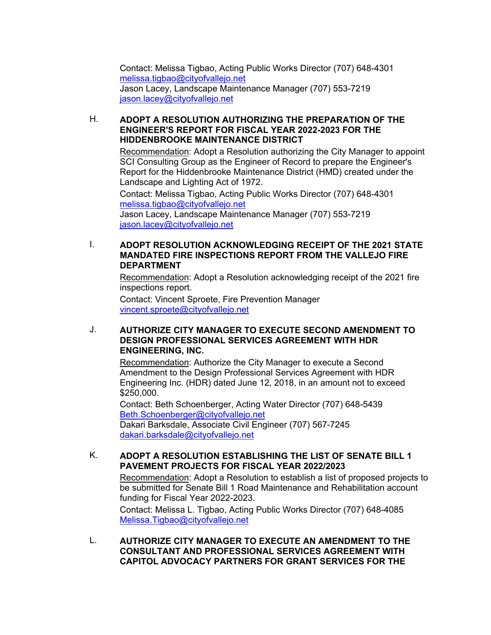Contact: Melissa Tigbao, Acting Public Works Director (707) 648-4301 melissa.tigbao@cityofvallejo.net Jason Lacey, Landscape Maintenance Manager (707) 553-7219 jason.lacey@cityofvallejo.net

# H. **ADOPT A RESOLUTION AUTHORIZING THE PREPARATION OF THE ENGINEER'S REPORT FOR FISCAL YEAR 2022-2023 FOR THE HIDDENBROOKE MAINTENANCE DISTRICT**

Recommendation: Adopt a Resolution authorizing the City Manager to appoint SCI Consulting Group as the Engineer of Record to prepare the Engineer's Report for the Hiddenbrooke Maintenance District (HMD) created under the Landscape and Lighting Act of 1972.

Contact: Melissa Tigbao, Acting Public Works Director (707) 648-4301 melissa.tigbao@cityofvallejo.net Jason Lacey, Landscape Maintenance Manager (707) 553-7219 jason.lacey@cityofvallejo.net

### I. **ADOPT RESOLUTION ACKNOWLEDGING RECEIPT OF THE 2021 STATE MANDATED FIRE INSPECTIONS REPORT FROM THE VALLEJO FIRE DEPARTMENT**

Recommendation: Adopt a Resolution acknowledging receipt of the 2021 fire inspections report.

Contact: Vincent Sproete, Fire Prevention Manager vincent.sproete@cityofvallejo.net

# J. **AUTHORIZE CITY MANAGER TO EXECUTE SECOND AMENDMENT TO DESIGN PROFESSIONAL SERVICES AGREEMENT WITH HDR ENGINEERING, INC.**

Recommendation: Authorize the City Manager to execute a Second Amendment to the Design Professional Services Agreement with HDR Engineering Inc. (HDR) dated June 12, 2018, in an amount not to exceed \$250,000.

Contact: Beth Schoenberger, Acting Water Director (707) 648-5439 Beth.Schoenberger@cityofvallejo.net Dakari Barksdale, Associate Civil Engineer (707) 567-7245 dakari.barksdale@cityofvallejo.net

# K. **ADOPT A RESOLUTION ESTABLISHING THE LIST OF SENATE BILL 1 PAVEMENT PROJECTS FOR FISCAL YEAR 2022/2023**

Recommendation: Adopt a Resolution to establish a list of proposed projects to be submitted for Senate Bill 1 Road Maintenance and Rehabilitation account funding for Fiscal Year 2022-2023.

Contact: Melissa L. Tigbao, Acting Public Works Director (707) 648-4085 Melissa.Tigbao@cityofvallejo.net

L. **AUTHORIZE CITY MANAGER TO EXECUTE AN AMENDMENT TO THE CONSULTANT AND PROFESSIONAL SERVICES AGREEMENT WITH CAPITOL ADVOCACY PARTNERS FOR GRANT SERVICES FOR THE**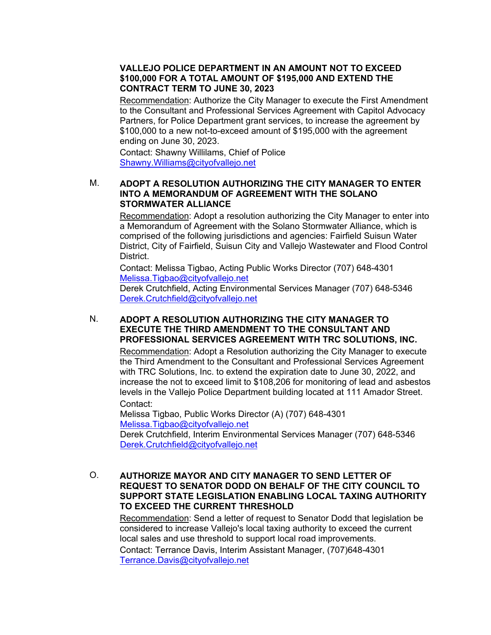### **VALLEJO POLICE DEPARTMENT IN AN AMOUNT NOT TO EXCEED \$100,000 FOR A TOTAL AMOUNT OF \$195,000 AND EXTEND THE CONTRACT TERM TO JUNE 30, 2023**

Recommendation: Authorize the City Manager to execute the First Amendment to the Consultant and Professional Services Agreement with Capitol Advocacy Partners, for Police Department grant services, to increase the agreement by \$100,000 to a new not-to-exceed amount of \$195,000 with the agreement ending on June 30, 2023.

Contact: Shawny Willilams, Chief of Police Shawny.Williams@cityofvallejo.net

### M. **ADOPT A RESOLUTION AUTHORIZING THE CITY MANAGER TO ENTER INTO A MEMORANDUM OF AGREEMENT WITH THE SOLANO STORMWATER ALLIANCE**

Recommendation: Adopt a resolution authorizing the City Manager to enter into a Memorandum of Agreement with the Solano Stormwater Alliance, which is comprised of the following jurisdictions and agencies: Fairfield Suisun Water District, City of Fairfield, Suisun City and Vallejo Wastewater and Flood Control District.

Contact: Melissa Tigbao, Acting Public Works Director (707) 648-4301 Melissa.Tigbao@cityofvallejo.net

Derek Crutchfield, Acting Environmental Services Manager (707) 648-5346 Derek.Crutchfield@cityofvallejo.net

# N. **ADOPT A RESOLUTION AUTHORIZING THE CITY MANAGER TO EXECUTE THE THIRD AMENDMENT TO THE CONSULTANT AND PROFESSIONAL SERVICES AGREEMENT WITH TRC SOLUTIONS, INC.**

Recommendation: Adopt a Resolution authorizing the City Manager to execute the Third Amendment to the Consultant and Professional Services Agreement with TRC Solutions, Inc. to extend the expiration date to June 30, 2022, and increase the not to exceed limit to \$108,206 for monitoring of lead and asbestos levels in the Vallejo Police Department building located at 111 Amador Street. Contact:

Melissa Tigbao, Public Works Director (A) (707) 648-4301 Melissa.Tigbao@cityofvallejo.net Derek Crutchfield, Interim Environmental Services Manager (707) 648-5346 Derek.Crutchfield@cityofvallejo.net

### O. **AUTHORIZE MAYOR AND CITY MANAGER TO SEND LETTER OF REQUEST TO SENATOR DODD ON BEHALF OF THE CITY COUNCIL TO SUPPORT STATE LEGISLATION ENABLING LOCAL TAXING AUTHORITY TO EXCEED THE CURRENT THRESHOLD**

Recommendation: Send a letter of request to Senator Dodd that legislation be considered to increase Vallejo's local taxing authority to exceed the current local sales and use threshold to support local road improvements.

Contact: Terrance Davis, Interim Assistant Manager, (707)648-4301 Terrance.Davis@cityofvallejo.net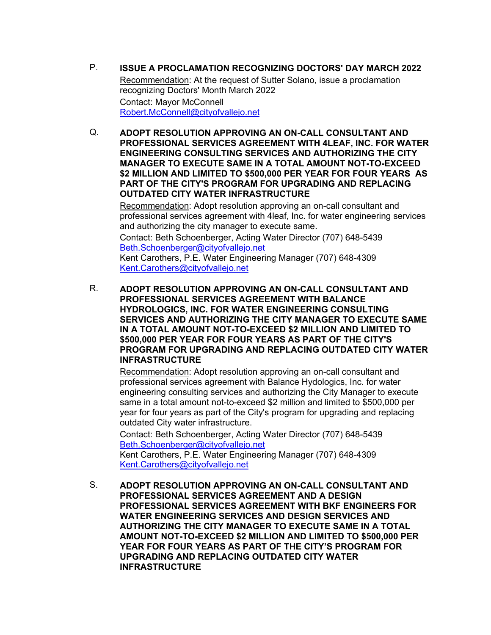- P. **ISSUE A PROCLAMATION RECOGNIZING DOCTORS' DAY MARCH 2022** Recommendation: At the request of Sutter Solano, issue a proclamation recognizing Doctors' Month March 2022 Contact: Mayor McConnell Robert.McConnell@cityofvallejo.net
- Q. **ADOPT RESOLUTION APPROVING AN ON-CALL CONSULTANT AND PROFESSIONAL SERVICES AGREEMENT WITH 4LEAF, INC. FOR WATER ENGINEERING CONSULTING SERVICES AND AUTHORIZING THE CITY MANAGER TO EXECUTE SAME IN A TOTAL AMOUNT NOT-TO-EXCEED \$2 MILLION AND LIMITED TO \$500,000 PER YEAR FOR FOUR YEARS AS PART OF THE CITY'S PROGRAM FOR UPGRADING AND REPLACING OUTDATED CITY WATER INFRASTRUCTURE**

Recommendation: Adopt resolution approving an on-call consultant and professional services agreement with 4leaf, Inc. for water engineering services and authorizing the city manager to execute same.

Contact: Beth Schoenberger, Acting Water Director (707) 648-5439 Beth.Schoenberger@cityofvallejo.net

Kent Carothers, P.E. Water Engineering Manager (707) 648-4309 Kent.Carothers@cityofvallejo.net

R. **ADOPT RESOLUTION APPROVING AN ON-CALL CONSULTANT AND PROFESSIONAL SERVICES AGREEMENT WITH BALANCE HYDROLOGICS, INC. FOR WATER ENGINEERING CONSULTING SERVICES AND AUTHORIZING THE CITY MANAGER TO EXECUTE SAME IN A TOTAL AMOUNT NOT-TO-EXCEED \$2 MILLION AND LIMITED TO \$500,000 PER YEAR FOR FOUR YEARS AS PART OF THE CITY'S PROGRAM FOR UPGRADING AND REPLACING OUTDATED CITY WATER INFRASTRUCTURE**

Recommendation: Adopt resolution approving an on-call consultant and professional services agreement with Balance Hydologics, Inc. for water engineering consulting services and authorizing the City Manager to execute same in a total amount not-to-exceed \$2 million and limited to \$500,000 per year for four years as part of the City's program for upgrading and replacing outdated City water infrastructure.

Contact: Beth Schoenberger, Acting Water Director (707) 648-5439 Beth.Schoenberger@cityofvallejo.net Kent Carothers, P.E. Water Engineering Manager (707) 648-4309

Kent.Carothers@cityofvallejo.net

S. **ADOPT RESOLUTION APPROVING AN ON-CALL CONSULTANT AND PROFESSIONAL SERVICES AGREEMENT AND A DESIGN PROFESSIONAL SERVICES AGREEMENT WITH BKF ENGINEERS FOR WATER ENGINEERING SERVICES AND DESIGN SERVICES AND AUTHORIZING THE CITY MANAGER TO EXECUTE SAME IN A TOTAL AMOUNT NOT-TO-EXCEED \$2 MILLION AND LIMITED TO \$500,000 PER YEAR FOR FOUR YEARS AS PART OF THE CITY'S PROGRAM FOR UPGRADING AND REPLACING OUTDATED CITY WATER INFRASTRUCTURE**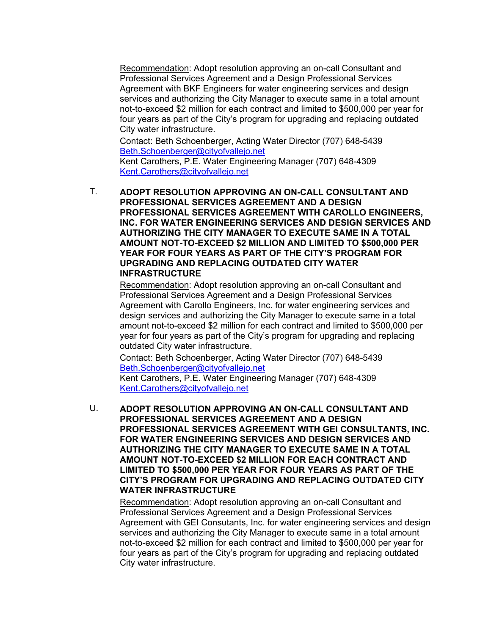Recommendation: Adopt resolution approving an on-call Consultant and Professional Services Agreement and a Design Professional Services Agreement with BKF Engineers for water engineering services and design services and authorizing the City Manager to execute same in a total amount not-to-exceed \$2 million for each contract and limited to \$500,000 per year for four years as part of the City's program for upgrading and replacing outdated City water infrastructure.

Contact: Beth Schoenberger, Acting Water Director (707) 648-5439 Beth.Schoenberger@cityofvallejo.net Kent Carothers, P.E. Water Engineering Manager (707) 648-4309

Kent.Carothers@cityofvallejo.net

T. **ADOPT RESOLUTION APPROVING AN ON-CALL CONSULTANT AND PROFESSIONAL SERVICES AGREEMENT AND A DESIGN PROFESSIONAL SERVICES AGREEMENT WITH CAROLLO ENGINEERS, INC. FOR WATER ENGINEERING SERVICES AND DESIGN SERVICES AND AUTHORIZING THE CITY MANAGER TO EXECUTE SAME IN A TOTAL AMOUNT NOT-TO-EXCEED \$2 MILLION AND LIMITED TO \$500,000 PER YEAR FOR FOUR YEARS AS PART OF THE CITY'S PROGRAM FOR UPGRADING AND REPLACING OUTDATED CITY WATER INFRASTRUCTURE** 

Recommendation: Adopt resolution approving an on-call Consultant and Professional Services Agreement and a Design Professional Services Agreement with Carollo Engineers, Inc. for water engineering services and design services and authorizing the City Manager to execute same in a total amount not-to-exceed \$2 million for each contract and limited to \$500,000 per year for four years as part of the City's program for upgrading and replacing outdated City water infrastructure.

Contact: Beth Schoenberger, Acting Water Director (707) 648-5439 Beth.Schoenberger@cityofvallejo.net

Kent Carothers, P.E. Water Engineering Manager (707) 648-4309 Kent.Carothers@cityofvallejo.net

U. **ADOPT RESOLUTION APPROVING AN ON-CALL CONSULTANT AND PROFESSIONAL SERVICES AGREEMENT AND A DESIGN PROFESSIONAL SERVICES AGREEMENT WITH GEI CONSULTANTS, INC. FOR WATER ENGINEERING SERVICES AND DESIGN SERVICES AND AUTHORIZING THE CITY MANAGER TO EXECUTE SAME IN A TOTAL AMOUNT NOT-TO-EXCEED \$2 MILLION FOR EACH CONTRACT AND LIMITED TO \$500,000 PER YEAR FOR FOUR YEARS AS PART OF THE CITY'S PROGRAM FOR UPGRADING AND REPLACING OUTDATED CITY WATER INFRASTRUCTURE** 

Recommendation: Adopt resolution approving an on-call Consultant and Professional Services Agreement and a Design Professional Services Agreement with GEI Consutants, Inc. for water engineering services and design services and authorizing the City Manager to execute same in a total amount not-to-exceed \$2 million for each contract and limited to \$500,000 per year for four years as part of the City's program for upgrading and replacing outdated City water infrastructure.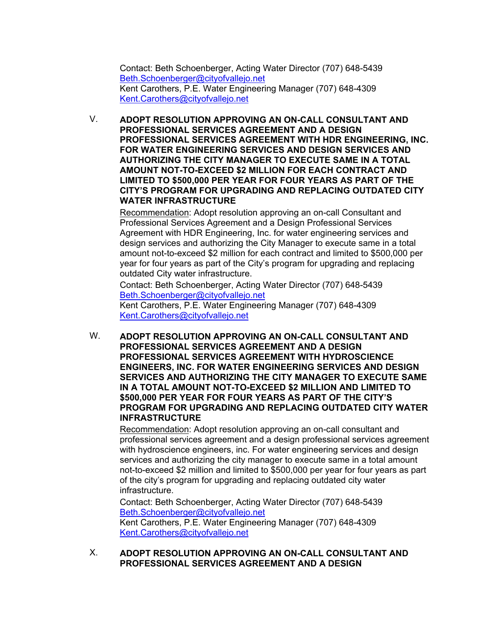Contact: Beth Schoenberger, Acting Water Director (707) 648-5439 Beth.Schoenberger@cityofvallejo.net Kent Carothers, P.E. Water Engineering Manager (707) 648-4309 Kent.Carothers@cityofvallejo.net

V. **ADOPT RESOLUTION APPROVING AN ON-CALL CONSULTANT AND PROFESSIONAL SERVICES AGREEMENT AND A DESIGN PROFESSIONAL SERVICES AGREEMENT WITH HDR ENGINEERING, INC. FOR WATER ENGINEERING SERVICES AND DESIGN SERVICES AND AUTHORIZING THE CITY MANAGER TO EXECUTE SAME IN A TOTAL AMOUNT NOT-TO-EXCEED \$2 MILLION FOR EACH CONTRACT AND LIMITED TO \$500,000 PER YEAR FOR FOUR YEARS AS PART OF THE CITY'S PROGRAM FOR UPGRADING AND REPLACING OUTDATED CITY WATER INFRASTRUCTURE**

Recommendation: Adopt resolution approving an on-call Consultant and Professional Services Agreement and a Design Professional Services Agreement with HDR Engineering, Inc. for water engineering services and design services and authorizing the City Manager to execute same in a total amount not-to-exceed \$2 million for each contract and limited to \$500,000 per year for four years as part of the City's program for upgrading and replacing outdated City water infrastructure.

Contact: Beth Schoenberger, Acting Water Director (707) 648-5439 Beth.Schoenberger@cityofvallejo.net Kent Carothers, P.E. Water Engineering Manager (707) 648-4309 Kent.Carothers@cityofvallejo.net

W. **ADOPT RESOLUTION APPROVING AN ON-CALL CONSULTANT AND PROFESSIONAL SERVICES AGREEMENT AND A DESIGN PROFESSIONAL SERVICES AGREEMENT WITH HYDROSCIENCE ENGINEERS, INC. FOR WATER ENGINEERING SERVICES AND DESIGN SERVICES AND AUTHORIZING THE CITY MANAGER TO EXECUTE SAME IN A TOTAL AMOUNT NOT-TO-EXCEED \$2 MILLION AND LIMITED TO \$500,000 PER YEAR FOR FOUR YEARS AS PART OF THE CITY'S PROGRAM FOR UPGRADING AND REPLACING OUTDATED CITY WATER INFRASTRUCTURE** 

Recommendation: Adopt resolution approving an on-call consultant and professional services agreement and a design professional services agreement with hydroscience engineers, inc. For water engineering services and design services and authorizing the city manager to execute same in a total amount not-to-exceed \$2 million and limited to \$500,000 per year for four years as part of the city's program for upgrading and replacing outdated city water infrastructure.

Contact: Beth Schoenberger, Acting Water Director (707) 648-5439 Beth.Schoenberger@cityofvallejo.net Kent Carothers, P.E. Water Engineering Manager (707) 648-4309 Kent.Carothers@cityofvallejo.net

X. **ADOPT RESOLUTION APPROVING AN ON-CALL CONSULTANT AND PROFESSIONAL SERVICES AGREEMENT AND A DESIGN**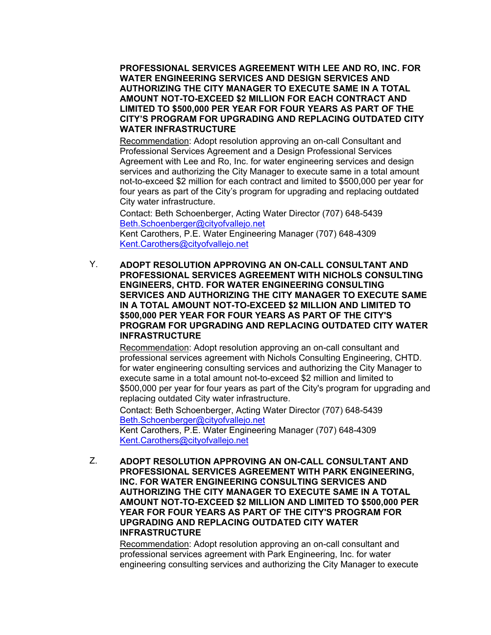**PROFESSIONAL SERVICES AGREEMENT WITH LEE AND RO, INC. FOR WATER ENGINEERING SERVICES AND DESIGN SERVICES AND AUTHORIZING THE CITY MANAGER TO EXECUTE SAME IN A TOTAL AMOUNT NOT-TO-EXCEED \$2 MILLION FOR EACH CONTRACT AND LIMITED TO \$500,000 PER YEAR FOR FOUR YEARS AS PART OF THE CITY'S PROGRAM FOR UPGRADING AND REPLACING OUTDATED CITY WATER INFRASTRUCTURE** 

Recommendation: Adopt resolution approving an on-call Consultant and Professional Services Agreement and a Design Professional Services Agreement with Lee and Ro, Inc. for water engineering services and design services and authorizing the City Manager to execute same in a total amount not-to-exceed \$2 million for each contract and limited to \$500,000 per year for four years as part of the City's program for upgrading and replacing outdated City water infrastructure.

Contact: Beth Schoenberger, Acting Water Director (707) 648-5439 Beth.Schoenberger@cityofvallejo.net Kent Carothers, P.E. Water Engineering Manager (707) 648-4309 Kent.Carothers@cityofvallejo.net

Y. **ADOPT RESOLUTION APPROVING AN ON-CALL CONSULTANT AND PROFESSIONAL SERVICES AGREEMENT WITH NICHOLS CONSULTING ENGINEERS, CHTD. FOR WATER ENGINEERING CONSULTING SERVICES AND AUTHORIZING THE CITY MANAGER TO EXECUTE SAME IN A TOTAL AMOUNT NOT-TO-EXCEED \$2 MILLION AND LIMITED TO \$500,000 PER YEAR FOR FOUR YEARS AS PART OF THE CITY'S PROGRAM FOR UPGRADING AND REPLACING OUTDATED CITY WATER INFRASTRUCTURE**

Recommendation: Adopt resolution approving an on-call consultant and professional services agreement with Nichols Consulting Engineering, CHTD. for water engineering consulting services and authorizing the City Manager to execute same in a total amount not-to-exceed \$2 million and limited to \$500,000 per year for four years as part of the City's program for upgrading and replacing outdated City water infrastructure.

Contact: Beth Schoenberger, Acting Water Director (707) 648-5439 Beth.Schoenberger@cityofvallejo.net

Kent Carothers, P.E. Water Engineering Manager (707) 648-4309 Kent.Carothers@cityofvallejo.net

Z. **ADOPT RESOLUTION APPROVING AN ON-CALL CONSULTANT AND PROFESSIONAL SERVICES AGREEMENT WITH PARK ENGINEERING, INC. FOR WATER ENGINEERING CONSULTING SERVICES AND AUTHORIZING THE CITY MANAGER TO EXECUTE SAME IN A TOTAL AMOUNT NOT-TO-EXCEED \$2 MILLION AND LIMITED TO \$500,000 PER YEAR FOR FOUR YEARS AS PART OF THE CITY'S PROGRAM FOR UPGRADING AND REPLACING OUTDATED CITY WATER INFRASTRUCTURE**

Recommendation: Adopt resolution approving an on-call consultant and professional services agreement with Park Engineering, Inc. for water engineering consulting services and authorizing the City Manager to execute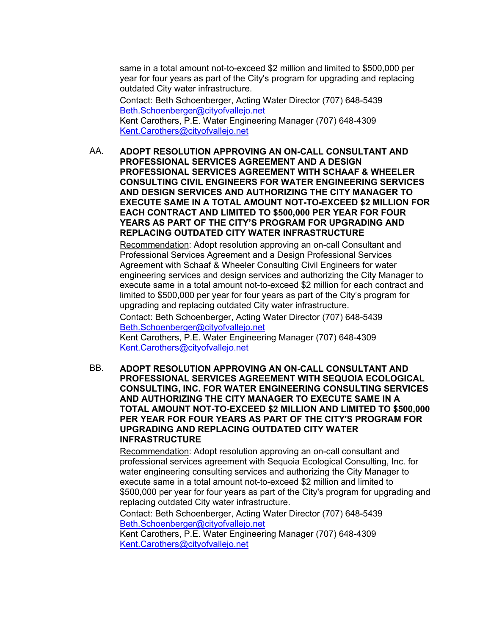same in a total amount not-to-exceed \$2 million and limited to \$500,000 per year for four years as part of the City's program for upgrading and replacing outdated City water infrastructure.

Contact: Beth Schoenberger, Acting Water Director (707) 648-5439 Beth.Schoenberger@cityofvallejo.net Kent Carothers, P.E. Water Engineering Manager (707) 648-4309 Kent.Carothers@cityofvallejo.net

AA. **ADOPT RESOLUTION APPROVING AN ON-CALL CONSULTANT AND PROFESSIONAL SERVICES AGREEMENT AND A DESIGN PROFESSIONAL SERVICES AGREEMENT WITH SCHAAF & WHEELER CONSULTING CIVIL ENGINEERS FOR WATER ENGINEERING SERVICES AND DESIGN SERVICES AND AUTHORIZING THE CITY MANAGER TO EXECUTE SAME IN A TOTAL AMOUNT NOT-TO-EXCEED \$2 MILLION FOR EACH CONTRACT AND LIMITED TO \$500,000 PER YEAR FOR FOUR YEARS AS PART OF THE CITY'S PROGRAM FOR UPGRADING AND REPLACING OUTDATED CITY WATER INFRASTRUCTURE**

Recommendation: Adopt resolution approving an on-call Consultant and Professional Services Agreement and a Design Professional Services Agreement with Schaaf & Wheeler Consulting Civil Engineers for water engineering services and design services and authorizing the City Manager to execute same in a total amount not-to-exceed \$2 million for each contract and limited to \$500,000 per year for four years as part of the City's program for upgrading and replacing outdated City water infrastructure.

Contact: Beth Schoenberger, Acting Water Director (707) 648-5439 Beth.Schoenberger@cityofvallejo.net Kent Carothers, P.E. Water Engineering Manager (707) 648-4309

Kent.Carothers@cityofvallejo.net

BB. **ADOPT RESOLUTION APPROVING AN ON-CALL CONSULTANT AND PROFESSIONAL SERVICES AGREEMENT WITH SEQUOIA ECOLOGICAL CONSULTING, INC. FOR WATER ENGINEERING CONSULTING SERVICES AND AUTHORIZING THE CITY MANAGER TO EXECUTE SAME IN A TOTAL AMOUNT NOT-TO-EXCEED \$2 MILLION AND LIMITED TO \$500,000 PER YEAR FOR FOUR YEARS AS PART OF THE CITY'S PROGRAM FOR UPGRADING AND REPLACING OUTDATED CITY WATER INFRASTRUCTURE**

Recommendation: Adopt resolution approving an on-call consultant and professional services agreement with Sequoia Ecological Consulting, Inc. for water engineering consulting services and authorizing the City Manager to execute same in a total amount not-to-exceed \$2 million and limited to \$500,000 per year for four years as part of the City's program for upgrading and replacing outdated City water infrastructure.

Contact: Beth Schoenberger, Acting Water Director (707) 648-5439 Beth.Schoenberger@cityofvallejo.net

Kent Carothers, P.E. Water Engineering Manager (707) 648-4309 Kent.Carothers@cityofvallejo.net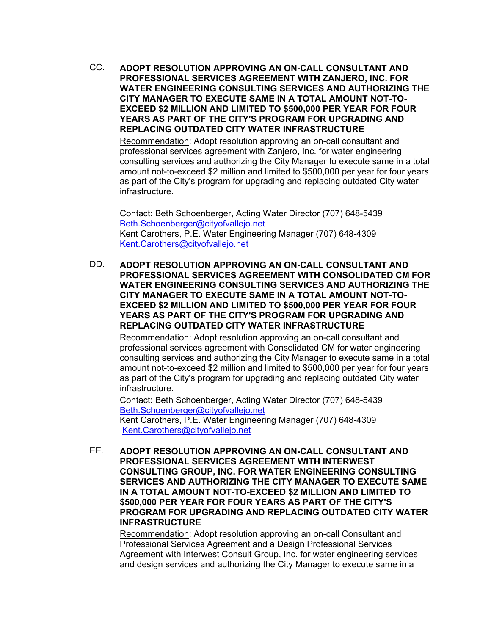CC. **ADOPT RESOLUTION APPROVING AN ON-CALL CONSULTANT AND PROFESSIONAL SERVICES AGREEMENT WITH ZANJERO, INC. FOR WATER ENGINEERING CONSULTING SERVICES AND AUTHORIZING THE CITY MANAGER TO EXECUTE SAME IN A TOTAL AMOUNT NOT-TO-EXCEED \$2 MILLION AND LIMITED TO \$500,000 PER YEAR FOR FOUR YEARS AS PART OF THE CITY'S PROGRAM FOR UPGRADING AND REPLACING OUTDATED CITY WATER INFRASTRUCTURE** 

Recommendation: Adopt resolution approving an on-call consultant and professional services agreement with Zanjero, Inc. for water engineering consulting services and authorizing the City Manager to execute same in a total amount not-to-exceed \$2 million and limited to \$500,000 per year for four years as part of the City's program for upgrading and replacing outdated City water infrastructure.

Contact: Beth Schoenberger, Acting Water Director (707) 648-5439 Beth.Schoenberger@cityofvallejo.net Kent Carothers, P.E. Water Engineering Manager (707) 648-4309 Kent.Carothers@cityofvallejo.net

DD. **ADOPT RESOLUTION APPROVING AN ON-CALL CONSULTANT AND PROFESSIONAL SERVICES AGREEMENT WITH CONSOLIDATED CM FOR WATER ENGINEERING CONSULTING SERVICES AND AUTHORIZING THE CITY MANAGER TO EXECUTE SAME IN A TOTAL AMOUNT NOT-TO-EXCEED \$2 MILLION AND LIMITED TO \$500,000 PER YEAR FOR FOUR YEARS AS PART OF THE CITY'S PROGRAM FOR UPGRADING AND REPLACING OUTDATED CITY WATER INFRASTRUCTURE**

Recommendation: Adopt resolution approving an on-call consultant and professional services agreement with Consolidated CM for water engineering consulting services and authorizing the City Manager to execute same in a total amount not-to-exceed \$2 million and limited to \$500,000 per year for four years as part of the City's program for upgrading and replacing outdated City water infrastructure.

Contact: Beth Schoenberger, Acting Water Director (707) 648-5439 Beth.Schoenberger@cityofvallejo.net Kent Carothers, P.E. Water Engineering Manager (707) 648-4309 Kent.Carothers@cityofvallejo.net

EE. **ADOPT RESOLUTION APPROVING AN ON-CALL CONSULTANT AND PROFESSIONAL SERVICES AGREEMENT WITH INTERWEST CONSULTING GROUP, INC. FOR WATER ENGINEERING CONSULTING SERVICES AND AUTHORIZING THE CITY MANAGER TO EXECUTE SAME IN A TOTAL AMOUNT NOT-TO-EXCEED \$2 MILLION AND LIMITED TO \$500,000 PER YEAR FOR FOUR YEARS AS PART OF THE CITY'S PROGRAM FOR UPGRADING AND REPLACING OUTDATED CITY WATER INFRASTRUCTURE**

Recommendation: Adopt resolution approving an on-call Consultant and Professional Services Agreement and a Design Professional Services Agreement with Interwest Consult Group, Inc. for water engineering services and design services and authorizing the City Manager to execute same in a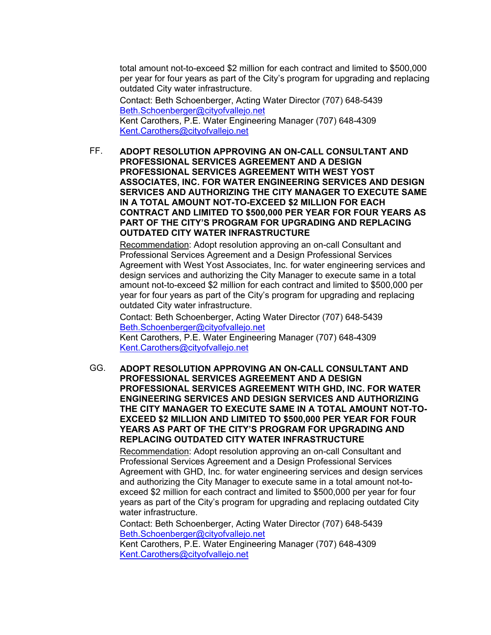total amount not-to-exceed \$2 million for each contract and limited to \$500,000 per year for four years as part of the City's program for upgrading and replacing outdated City water infrastructure.

Contact: Beth Schoenberger, Acting Water Director (707) 648-5439 Beth.Schoenberger@cityofvallejo.net Kent Carothers, P.E. Water Engineering Manager (707) 648-4309 Kent.Carothers@cityofvallejo.net

FF. **ADOPT RESOLUTION APPROVING AN ON-CALL CONSULTANT AND PROFESSIONAL SERVICES AGREEMENT AND A DESIGN PROFESSIONAL SERVICES AGREEMENT WITH WEST YOST ASSOCIATES, INC. FOR WATER ENGINEERING SERVICES AND DESIGN SERVICES AND AUTHORIZING THE CITY MANAGER TO EXECUTE SAME IN A TOTAL AMOUNT NOT-TO-EXCEED \$2 MILLION FOR EACH CONTRACT AND LIMITED TO \$500,000 PER YEAR FOR FOUR YEARS AS PART OF THE CITY'S PROGRAM FOR UPGRADING AND REPLACING OUTDATED CITY WATER INFRASTRUCTURE**

Recommendation: Adopt resolution approving an on-call Consultant and Professional Services Agreement and a Design Professional Services Agreement with West Yost Associates, Inc. for water engineering services and design services and authorizing the City Manager to execute same in a total amount not-to-exceed \$2 million for each contract and limited to \$500,000 per year for four years as part of the City's program for upgrading and replacing outdated City water infrastructure.

Contact: Beth Schoenberger, Acting Water Director (707) 648-5439 Beth.Schoenberger@cityofvallejo.net Kent Carothers, P.E. Water Engineering Manager (707) 648-4309 Kent.Carothers@cityofvallejo.net

GG. **ADOPT RESOLUTION APPROVING AN ON-CALL CONSULTANT AND PROFESSIONAL SERVICES AGREEMENT AND A DESIGN PROFESSIONAL SERVICES AGREEMENT WITH GHD, INC. FOR WATER ENGINEERING SERVICES AND DESIGN SERVICES AND AUTHORIZING THE CITY MANAGER TO EXECUTE SAME IN A TOTAL AMOUNT NOT-TO-EXCEED \$2 MILLION AND LIMITED TO \$500,000 PER YEAR FOR FOUR YEARS AS PART OF THE CITY'S PROGRAM FOR UPGRADING AND REPLACING OUTDATED CITY WATER INFRASTRUCTURE**

Recommendation: Adopt resolution approving an on-call Consultant and Professional Services Agreement and a Design Professional Services Agreement with GHD, Inc. for water engineering services and design services and authorizing the City Manager to execute same in a total amount not-toexceed \$2 million for each contract and limited to \$500,000 per year for four years as part of the City's program for upgrading and replacing outdated City water infrastructure.

Contact: Beth Schoenberger, Acting Water Director (707) 648-5439 Beth.Schoenberger@cityofvallejo.net

Kent Carothers, P.E. Water Engineering Manager (707) 648-4309 Kent.Carothers@cityofvallejo.net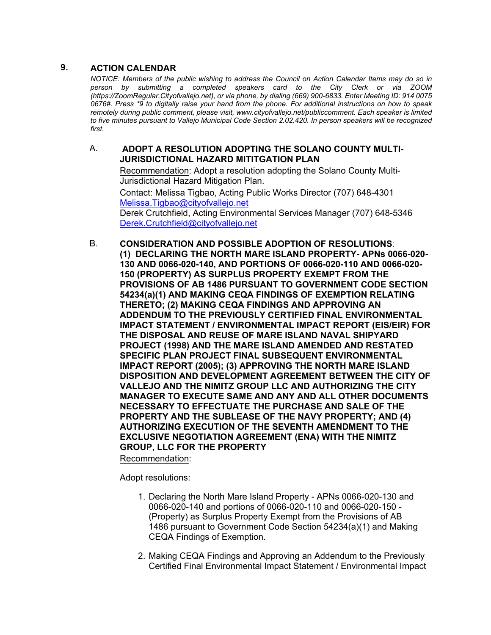# **9. ACTION CALENDAR**

*NOTICE: Members of the public wishing to address the Council on Action Calendar Items may do so in person by submitting a completed speakers card to the City Clerk or via ZOOM (https://ZoomRegular.Cityofvallejo.net), or via phone, by dialing (669) 900-6833. Enter Meeting ID: 914 0075 0676#. Press \*9 to digitally raise your hand from the phone. For additional instructions on how to speak remotely during public comment, please visit, www.cityofvallejo.net/publiccomment. Each speaker is limited to five minutes pursuant to Vallejo Municipal Code Section 2.02.420. In person speakers will be recognized first.*

#### A. **ADOPT A RESOLUTION ADOPTING THE SOLANO COUNTY MULTI-JURISDICTIONAL HAZARD MITITGATION PLAN**

Recommendation: Adopt a resolution adopting the Solano County Multi-Jurisdictional Hazard Mitigation Plan.

Contact: Melissa Tigbao, Acting Public Works Director (707) 648-4301 Melissa.Tigbao@cityofvallejo.net Derek Crutchfield, Acting Environmental Services Manager (707) 648-5346 Derek.Crutchfield@cityofvallejo.net

B. **CONSIDERATION AND POSSIBLE ADOPTION OF RESOLUTIONS**: **(1) DECLARING THE NORTH MARE ISLAND PROPERTY- APNs 0066-020- 130 AND 0066-020-140, AND PORTIONS OF 0066-020-110 AND 0066-020- 150 (PROPERTY) AS SURPLUS PROPERTY EXEMPT FROM THE PROVISIONS OF AB 1486 PURSUANT TO GOVERNMENT CODE SECTION 54234(a)(1) AND MAKING CEQA FINDINGS OF EXEMPTION RELATING THERETO; (2) MAKING CEQA FINDINGS AND APPROVING AN ADDENDUM TO THE PREVIOUSLY CERTIFIED FINAL ENVIRONMENTAL IMPACT STATEMENT / ENVIRONMENTAL IMPACT REPORT (EIS/EIR) FOR THE DISPOSAL AND REUSE OF MARE ISLAND NAVAL SHIPYARD PROJECT (1998) AND THE MARE ISLAND AMENDED AND RESTATED SPECIFIC PLAN PROJECT FINAL SUBSEQUENT ENVIRONMENTAL IMPACT REPORT (2005); (3) APPROVING THE NORTH MARE ISLAND DISPOSITION AND DEVELOPMENT AGREEMENT BETWEEN THE CITY OF VALLEJO AND THE NIMITZ GROUP LLC AND AUTHORIZING THE CITY MANAGER TO EXECUTE SAME AND ANY AND ALL OTHER DOCUMENTS NECESSARY TO EFFECTUATE THE PURCHASE AND SALE OF THE PROPERTY AND THE SUBLEASE OF THE NAVY PROPERTY; AND (4) AUTHORIZING EXECUTION OF THE SEVENTH AMENDMENT TO THE EXCLUSIVE NEGOTIATION AGREEMENT (ENA) WITH THE NIMITZ GROUP, LLC FOR THE PROPERTY**

Recommendation:

Adopt resolutions:

- 1. Declaring the North Mare Island Property APNs 0066-020-130 and 0066-020-140 and portions of 0066-020-110 and 0066-020-150 - (Property) as Surplus Property Exempt from the Provisions of AB 1486 pursuant to Government Code Section 54234(a)(1) and Making CEQA Findings of Exemption.
- 2. Making CEQA Findings and Approving an Addendum to the Previously Certified Final Environmental Impact Statement / Environmental Impact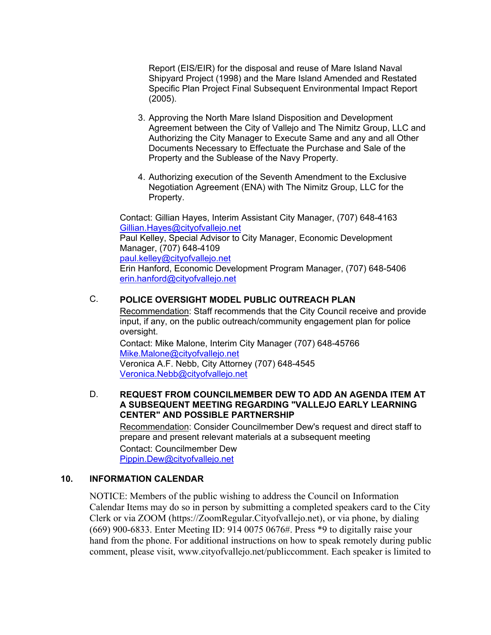Report (EIS/EIR) for the disposal and reuse of Mare Island Naval Shipyard Project (1998) and the Mare Island Amended and Restated Specific Plan Project Final Subsequent Environmental Impact Report (2005).

- 3. Approving the North Mare Island Disposition and Development Agreement between the City of Vallejo and The Nimitz Group, LLC and Authorizing the City Manager to Execute Same and any and all Other Documents Necessary to Effectuate the Purchase and Sale of the Property and the Sublease of the Navy Property.
- 4. Authorizing execution of the Seventh Amendment to the Exclusive Negotiation Agreement (ENA) with The Nimitz Group, LLC for the Property.

Contact: Gillian Hayes, Interim Assistant City Manager, (707) 648-4163 Gillian.Hayes@cityofvallejo.net Paul Kelley, Special Advisor to City Manager, Economic Development Manager, (707) 648-4109 paul.kelley@cityofvallejo.net Erin Hanford, Economic Development Program Manager, (707) 648-5406 erin.hanford@cityofvallejo.net

# C. **POLICE OVERSIGHT MODEL PUBLIC OUTREACH PLAN**

Recommendation: Staff recommends that the City Council receive and provide input, if any, on the public outreach/community engagement plan for police oversight.

Contact: Mike Malone, Interim City Manager (707) 648-45766 Mike.Malone@cityofvallejo.net Veronica A.F. Nebb, City Attorney (707) 648-4545 Veronica.Nebb@cityofvallejo.net

#### D. **REQUEST FROM COUNCILMEMBER DEW TO ADD AN AGENDA ITEM AT A SUBSEQUENT MEETING REGARDING "VALLEJO EARLY LEARNING CENTER" AND POSSIBLE PARTNERSHIP**

Recommendation: Consider Councilmember Dew's request and direct staff to prepare and present relevant materials at a subsequent meeting Contact: Councilmember Dew Pippin.Dew@cityofvallejo.net

# **10. INFORMATION CALENDAR**

NOTICE: Members of the public wishing to address the Council on Information Calendar Items may do so in person by submitting a completed speakers card to the City Clerk or via ZOOM (https://ZoomRegular.Cityofvallejo.net), or via phone, by dialing (669) 900-6833. Enter Meeting ID: 914 0075 0676#. Press \*9 to digitally raise your hand from the phone. For additional instructions on how to speak remotely during public comment, please visit, www.cityofvallejo.net/publiccomment. Each speaker is limited to